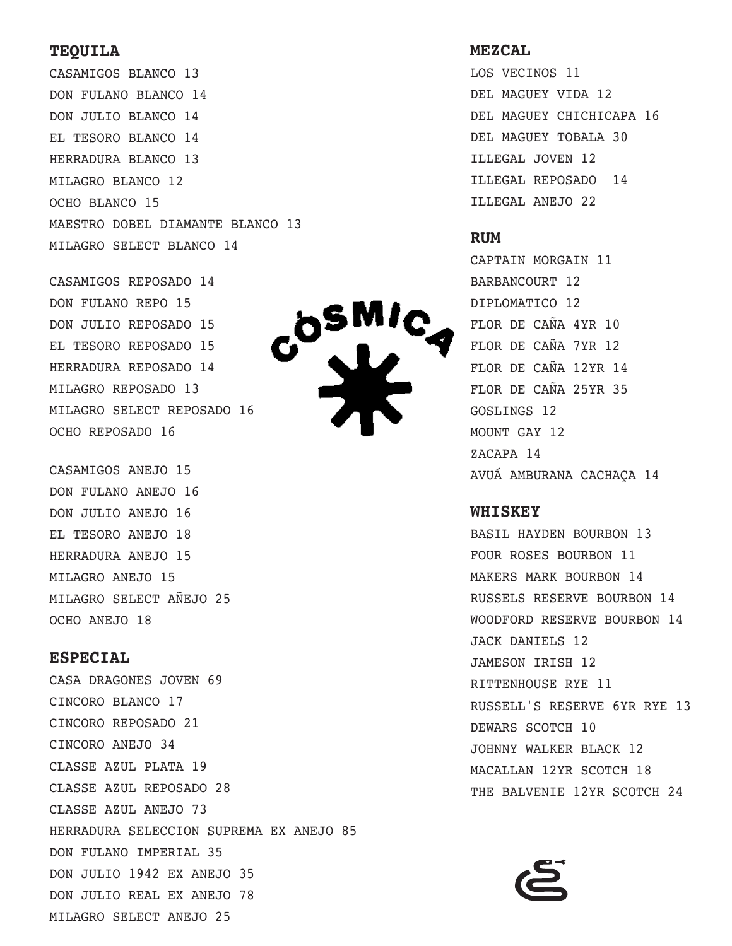#### **TEQUILA**

CASAMIGOS BLANCO 13 DON FULANO BLANCO 14 DON JULIO BLANCO 14 EL TESORO BLANCO 14 HERRADURA BLANCO 13 MILAGRO BLANCO 12 OCHO BLANCO 15 MAESTRO DOBEL DIAMANTE BLANCO 13 MILAGRO SELECT BLANCO 14

```
CASAMIGOS REPOSADO 14
DON FULANO REPO 15
DON JULIO REPOSADO 15
EL TESORO REPOSADO 15
HERRADURA REPOSADO 14
MILAGRO REPOSADO 13
MILAGRO SELECT REPOSADO 16
OCHO REPOSADO 16
```
CASAMIGOS ANEJO 15 DON FULANO ANEJO 16 DON JULIO ANEJO 16 EL TESORO ANEJO 18 HERRADURA ANEJO 15 MILAGRO ANEJO 15 MILAGRO SELECT AÑEJO 25 OCHO ANEJO 18

#### **ESPECIAL**

CASA DRAGONES JOVEN 69 CINCORO BLANCO 17 CINCORO REPOSADO 21 CINCORO ANEJO 34 CLASSE AZUL PLATA 19 CLASSE AZUL REPOSADO 28 CLASSE AZUL ANEJO 73 HERRADURA SELECCION SUPREMA EX ANEJO 85 DON FULANO IMPERIAL 35 DON JULIO 1942 EX ANEJO 35 DON JULIO REAL EX ANEJO 78 MILAGRO SELECT ANEJO 25



LOS VECINOS 11 DEL MAGUEY VIDA 12 DEL MAGUEY CHICHICAPA 16 DEL MAGUEY TOBALA 30 ILLEGAL JOVEN 12 ILLEGAL REPOSADO 14 ILLEGAL ANEJO 22

#### **RUM**

CAPTAIN MORGAIN 11 BARBANCOURT 12 DIPLOMATICO 12 FLOR DE CAÑA 4YR 10 FLOR DE CAÑA 7YR 12 FLOR DE CAÑA 12YR 14 FLOR DE CAÑA 25YR 35 GOSLINGS 12 MOUNT GAY 12 ZACAPA 14 AVUÁ AMBURANA CACHAÇA 14

#### **WHISKEY**

BASIL HAYDEN BOURBON 13 FOUR ROSES BOURBON 11 MAKERS MARK BOURBON 14 RUSSELS RESERVE BOURBON 14 WOODFORD RESERVE BOURBON 14 JACK DANIELS 12 JAMESON IRISH 12 RITTENHOUSE RYE 11 RUSSELL'S RESERVE 6YR RYE 13 DEWARS SCOTCH 10 JOHNNY WALKER BLACK 12 MACALLAN 12YR SCOTCH 18 THE BALVENIE 12YR SCOTCH 24

**DSMIC**